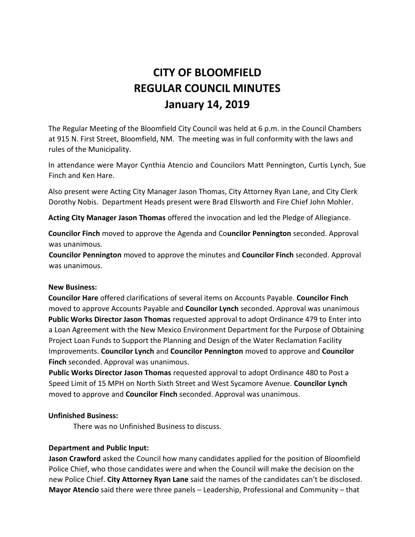# **CITY OF BLOOMFIELD REGULAR COUNCIL MINUTES January 14, 2019**

The Regular Meeting of the Bloomfield City Council was held at 6 p.m. in the Council Chambers at 915 N. First Street, Bloomfield, NM. The meeting was in full conformity with the laws and rules of the Municipality.

In attendance were Mayor Cynthia Atencio and Councilors Matt Pennington, Curtis Lynch, Sue Finch and Ken Hare.

Also present were Acting City Manager Jason Thomas, City Attorney Ryan Lane, and City Clerk Dorothy Nobis. Department Heads present were Brad Ellsworth and Fire Chief John Mohler.

**Acting City Manager Jason Thomas** offered the invocation and led the Pledge of Allegiance.

**Councilor Finch** moved to approve the Agenda and Co**uncilor Pennington** seconded. Approval was unanimous.

**Councilor Pennington** moved to approve the minutes and **Councilor Finch** seconded. Approval was unanimous.

# **New Business:**

**Councilor Hare** offered clarifications of several items on Accounts Payable. **Councilor Finch** moved to approve Accounts Payable and **Councilor Lynch** seconded. Approval was unanimous **Public Works Director Jason Thomas** requested approval to adopt Ordinance 479 to Enter into a Loan Agreement with the New Mexico Environment Department for the Purpose of Obtaining Project Loan Funds to Support the Planning and Design of the Water Reclamation Facility Improvements. **Councilor Lynch** and **Councilor Pennington** moved to approve and **Councilor Finch** seconded. Approval was unanimous.

**Public Works Director Jason Thomas** requested approval to adopt Ordinance 480 to Post a Speed Limit of 15 MPH on North Sixth Street and West Sycamore Avenue. **Councilor Lynch** moved to approve and **Councilor Finch** seconded. Approval was unanimous.

## **Unfinished Business:**

There was no Unfinished Business to discuss.

# **Department and Public Input:**

**Jason Crawford** asked the Council how many candidates applied for the position of Bloomfield Police Chief, who those candidates were and when the Council will make the decision on the new Police Chief. **City Attorney Ryan Lane** said the names of the candidates can't be disclosed. **Mayor Atencio** said there were three panels – Leadership, Professional and Community – that